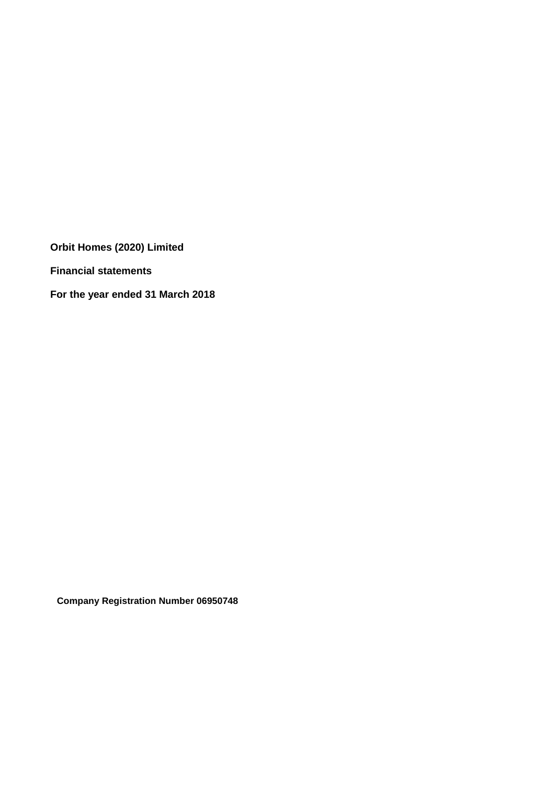**Financial statements**

**For the year ended 31 March 2018**

**Company Registration Number 06950748**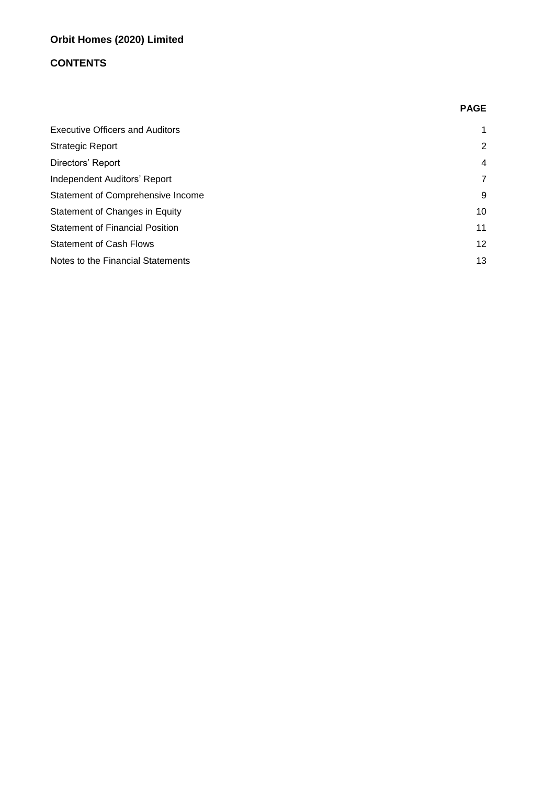# **CONTENTS**

|                                        | <b>PAGE</b>    |
|----------------------------------------|----------------|
| <b>Executive Officers and Auditors</b> | $\mathbf 1$    |
| <b>Strategic Report</b>                | 2              |
| Directors' Report                      | $\overline{4}$ |
| Independent Auditors' Report           | 7              |
| Statement of Comprehensive Income      | 9              |
| Statement of Changes in Equity         | 10             |
| <b>Statement of Financial Position</b> | 11             |
| <b>Statement of Cash Flows</b>         | 12             |
| Notes to the Financial Statements      | 13             |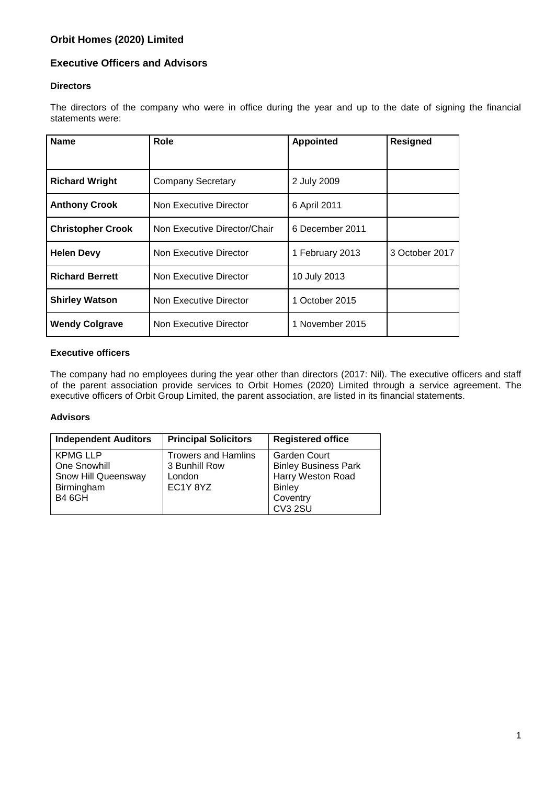# **Executive Officers and Advisors**

### **Directors**

The directors of the company who were in office during the year and up to the date of signing the financial statements were:

| <b>Name</b>              | Role                         | <b>Appointed</b> | <b>Resigned</b> |
|--------------------------|------------------------------|------------------|-----------------|
|                          |                              |                  |                 |
| <b>Richard Wright</b>    | <b>Company Secretary</b>     | 2 July 2009      |                 |
| <b>Anthony Crook</b>     | Non Executive Director       | 6 April 2011     |                 |
| <b>Christopher Crook</b> | Non Executive Director/Chair | 6 December 2011  |                 |
| <b>Helen Devy</b>        | Non Executive Director       | 1 February 2013  | 3 October 2017  |
| <b>Richard Berrett</b>   | Non Executive Director       | 10 July 2013     |                 |
| <b>Shirley Watson</b>    | Non Executive Director       | 1 October 2015   |                 |
| <b>Wendy Colgrave</b>    | Non Executive Director       | 1 November 2015  |                 |

### **Executive officers**

The company had no employees during the year other than directors (2017: Nil). The executive officers and staff of the parent association provide services to Orbit Homes (2020) Limited through a service agreement. The executive officers of Orbit Group Limited, the parent association, are listed in its financial statements.

### **Advisors**

| <b>Independent Auditors</b> | <b>Principal Solicitors</b> | <b>Registered office</b>    |
|-----------------------------|-----------------------------|-----------------------------|
| <b>KPMG LLP</b>             | <b>Trowers and Hamlins</b>  | <b>Garden Court</b>         |
| One Snowhill                | 3 Bunhill Row               | <b>Binley Business Park</b> |
| Snow Hill Queensway         | London                      | Harry Weston Road           |
| Birmingham                  | EC1Y8YZ                     | <b>Binley</b>               |
| <b>B4 6GH</b>               |                             | Coventry                    |
|                             |                             | CV3 2SU                     |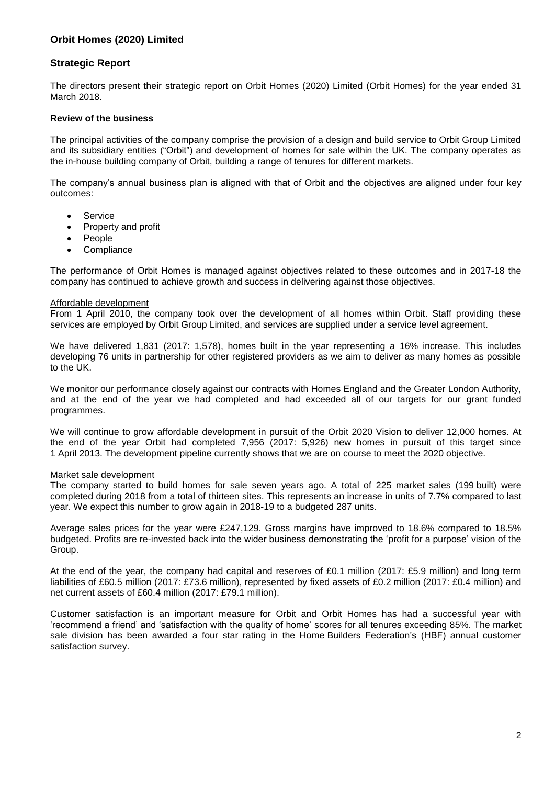### **Strategic Report**

The directors present their strategic report on Orbit Homes (2020) Limited (Orbit Homes) for the year ended 31 March 2018.

#### **Review of the business**

The principal activities of the company comprise the provision of a design and build service to Orbit Group Limited and its subsidiary entities ("Orbit") and development of homes for sale within the UK. The company operates as the in-house building company of Orbit, building a range of tenures for different markets.

The company's annual business plan is aligned with that of Orbit and the objectives are aligned under four key outcomes:

- **•** Service
- Property and profit
- People
- **Compliance**

The performance of Orbit Homes is managed against objectives related to these outcomes and in 2017-18 the company has continued to achieve growth and success in delivering against those objectives.

#### Affordable development

From 1 April 2010, the company took over the development of all homes within Orbit. Staff providing these services are employed by Orbit Group Limited, and services are supplied under a service level agreement.

We have delivered 1,831 (2017: 1,578), homes built in the year representing a 16% increase. This includes developing 76 units in partnership for other registered providers as we aim to deliver as many homes as possible to the UK.

We monitor our performance closely against our contracts with Homes England and the Greater London Authority, and at the end of the year we had completed and had exceeded all of our targets for our grant funded programmes.

We will continue to grow affordable development in pursuit of the Orbit 2020 Vision to deliver 12,000 homes. At the end of the year Orbit had completed 7,956 (2017: 5,926) new homes in pursuit of this target since 1 April 2013. The development pipeline currently shows that we are on course to meet the 2020 objective.

#### Market sale development

The company started to build homes for sale seven years ago. A total of 225 market sales (199 built) were completed during 2018 from a total of thirteen sites. This represents an increase in units of 7.7% compared to last year. We expect this number to grow again in 2018-19 to a budgeted 287 units.

Average sales prices for the year were £247,129. Gross margins have improved to 18.6% compared to 18.5% budgeted. Profits are re-invested back into the wider business demonstrating the 'profit for a purpose' vision of the Group.

At the end of the year, the company had capital and reserves of £0.1 million (2017: £5.9 million) and long term liabilities of £60.5 million (2017: £73.6 million), represented by fixed assets of £0.2 million (2017: £0.4 million) and net current assets of £60.4 million (2017: £79.1 million).

Customer satisfaction is an important measure for Orbit and Orbit Homes has had a successful year with 'recommend a friend' and 'satisfaction with the quality of home' scores for all tenures exceeding 85%. The market sale division has been awarded a four star rating in the Home Builders Federation's (HBF) annual customer satisfaction survey.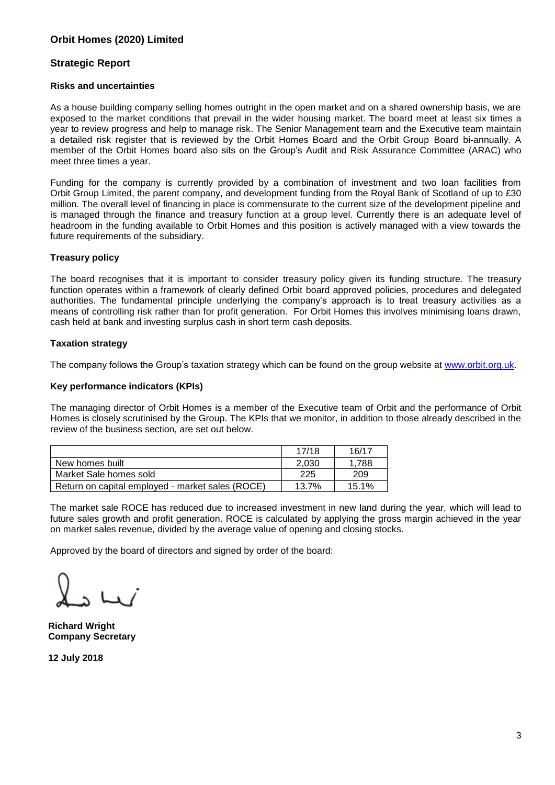### **Strategic Report**

#### **Risks and uncertainties**

As a house building company selling homes outright in the open market and on a shared ownership basis, we are exposed to the market conditions that prevail in the wider housing market. The board meet at least six times a year to review progress and help to manage risk. The Senior Management team and the Executive team maintain a detailed risk register that is reviewed by the Orbit Homes Board and the Orbit Group Board bi-annually. A member of the Orbit Homes board also sits on the Group's Audit and Risk Assurance Committee (ARAC) who meet three times a year.

Funding for the company is currently provided by a combination of investment and two loan facilities from Orbit Group Limited, the parent company, and development funding from the Royal Bank of Scotland of up to £30 million. The overall level of financing in place is commensurate to the current size of the development pipeline and is managed through the finance and treasury function at a group level. Currently there is an adequate level of headroom in the funding available to Orbit Homes and this position is actively managed with a view towards the future requirements of the subsidiary.

#### **Treasury policy**

The board recognises that it is important to consider treasury policy given its funding structure. The treasury function operates within a framework of clearly defined Orbit board approved policies, procedures and delegated authorities. The fundamental principle underlying the company's approach is to treat treasury activities as a means of controlling risk rather than for profit generation. For Orbit Homes this involves minimising loans drawn, cash held at bank and investing surplus cash in short term cash deposits.

### **Taxation strategy**

The company follows the Group's taxation strategy which can be found on the group website at [www.orbit.org.uk.](http://www.orbit.org.uk/)

#### **Key performance indicators (KPIs)**

The managing director of Orbit Homes is a member of the Executive team of Orbit and the performance of Orbit Homes is closely scrutinised by the Group. The KPIs that we monitor, in addition to those already described in the review of the business section, are set out below.

|                                                  | 17/18 | 16/17 |
|--------------------------------------------------|-------|-------|
| New homes built                                  | 2.030 | 1.788 |
| Market Sale homes sold                           | 225   | 209   |
| Return on capital employed - market sales (ROCE) | 13.7% | 15.1% |

The market sale ROCE has reduced due to increased investment in new land during the year, which will lead to future sales growth and profit generation. ROCE is calculated by applying the gross margin achieved in the year on market sales revenue, divided by the average value of opening and closing stocks.

Approved by the board of directors and signed by order of the board:

**Richard Wright Company Secretary**

**12 July 2018**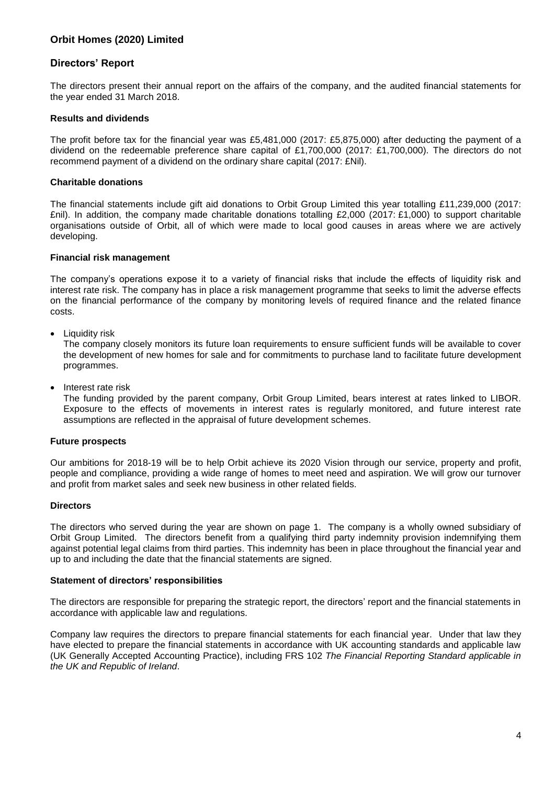### **Directors' Report**

The directors present their annual report on the affairs of the company, and the audited financial statements for the year ended 31 March 2018.

#### **Results and dividends**

The profit before tax for the financial year was £5,481,000 (2017: £5,875,000) after deducting the payment of a dividend on the redeemable preference share capital of £1,700,000 (2017: £1,700,000). The directors do not recommend payment of a dividend on the ordinary share capital (2017: £Nil).

#### **Charitable donations**

The financial statements include gift aid donations to Orbit Group Limited this year totalling £11,239,000 (2017: £nil). In addition, the company made charitable donations totalling £2,000 (2017: £1,000) to support charitable organisations outside of Orbit, all of which were made to local good causes in areas where we are actively developing.

#### **Financial risk management**

The company's operations expose it to a variety of financial risks that include the effects of liquidity risk and interest rate risk. The company has in place a risk management programme that seeks to limit the adverse effects on the financial performance of the company by monitoring levels of required finance and the related finance costs.

Liquidity risk

The company closely monitors its future loan requirements to ensure sufficient funds will be available to cover the development of new homes for sale and for commitments to purchase land to facilitate future development programmes.

Interest rate risk

The funding provided by the parent company, Orbit Group Limited, bears interest at rates linked to LIBOR. Exposure to the effects of movements in interest rates is regularly monitored, and future interest rate assumptions are reflected in the appraisal of future development schemes.

#### **Future prospects**

Our ambitions for 2018-19 will be to help Orbit achieve its 2020 Vision through our service, property and profit, people and compliance, providing a wide range of homes to meet need and aspiration. We will grow our turnover and profit from market sales and seek new business in other related fields.

#### **Directors**

The directors who served during the year are shown on page 1. The company is a wholly owned subsidiary of Orbit Group Limited. The directors benefit from a qualifying third party indemnity provision indemnifying them against potential legal claims from third parties. This indemnity has been in place throughout the financial year and up to and including the date that the financial statements are signed.

#### **Statement of directors' responsibilities**

The directors are responsible for preparing the strategic report, the directors' report and the financial statements in accordance with applicable law and regulations.

Company law requires the directors to prepare financial statements for each financial year. Under that law they have elected to prepare the financial statements in accordance with UK accounting standards and applicable law (UK Generally Accepted Accounting Practice), including FRS 102 *The Financial Reporting Standard applicable in the UK and Republic of Ireland*.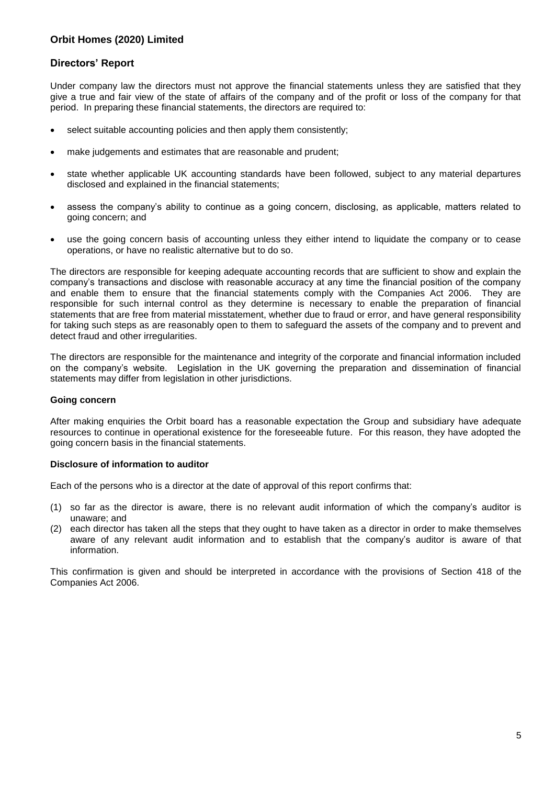### **Directors' Report**

Under company law the directors must not approve the financial statements unless they are satisfied that they give a true and fair view of the state of affairs of the company and of the profit or loss of the company for that period. In preparing these financial statements, the directors are required to:

- select suitable accounting policies and then apply them consistently;
- make judgements and estimates that are reasonable and prudent;
- state whether applicable UK accounting standards have been followed, subject to any material departures disclosed and explained in the financial statements;
- assess the company's ability to continue as a going concern, disclosing, as applicable, matters related to going concern; and
- use the going concern basis of accounting unless they either intend to liquidate the company or to cease operations, or have no realistic alternative but to do so.

The directors are responsible for keeping adequate accounting records that are sufficient to show and explain the company's transactions and disclose with reasonable accuracy at any time the financial position of the company and enable them to ensure that the financial statements comply with the Companies Act 2006. They are responsible for such internal control as they determine is necessary to enable the preparation of financial statements that are free from material misstatement, whether due to fraud or error, and have general responsibility for taking such steps as are reasonably open to them to safeguard the assets of the company and to prevent and detect fraud and other irregularities.

The directors are responsible for the maintenance and integrity of the corporate and financial information included on the company's website. Legislation in the UK governing the preparation and dissemination of financial statements may differ from legislation in other jurisdictions.

### **Going concern**

After making enquiries the Orbit board has a reasonable expectation the Group and subsidiary have adequate resources to continue in operational existence for the foreseeable future. For this reason, they have adopted the going concern basis in the financial statements.

#### **Disclosure of information to auditor**

Each of the persons who is a director at the date of approval of this report confirms that:

- (1) so far as the director is aware, there is no relevant audit information of which the company's auditor is unaware; and
- (2) each director has taken all the steps that they ought to have taken as a director in order to make themselves aware of any relevant audit information and to establish that the company's auditor is aware of that information.

This confirmation is given and should be interpreted in accordance with the provisions of Section 418 of the Companies Act 2006.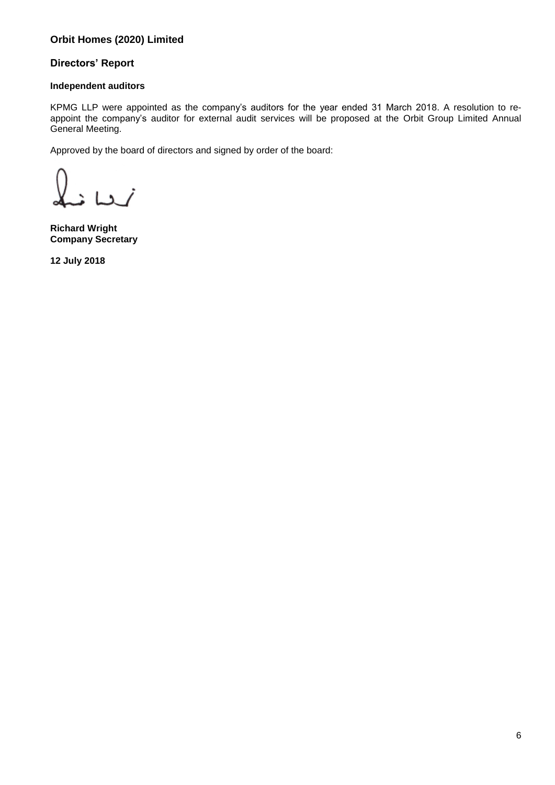# **Directors' Report**

### **Independent auditors**

KPMG LLP were appointed as the company's auditors for the year ended 31 March 2018. A resolution to reappoint the company's auditor for external audit services will be proposed at the Orbit Group Limited Annual General Meeting.

Approved by the board of directors and signed by order of the board:

 $L_2$  /

**Richard Wright Company Secretary**

**12 July 2018**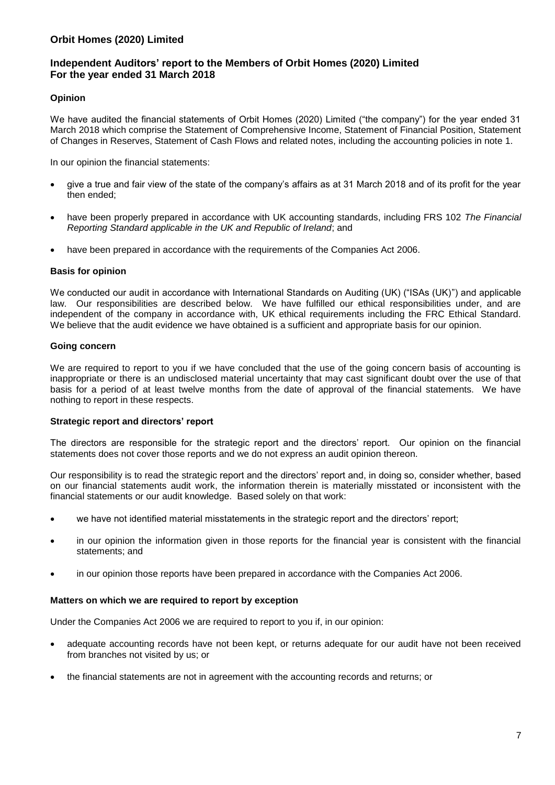### **Independent Auditors' report to the Members of Orbit Homes (2020) Limited For the year ended 31 March 2018**

### **Opinion**

We have audited the financial statements of Orbit Homes (2020) Limited ("the company") for the year ended 31 March 2018 which comprise the Statement of Comprehensive Income, Statement of Financial Position, Statement of Changes in Reserves, Statement of Cash Flows and related notes, including the accounting policies in note 1.

In our opinion the financial statements:

- give a true and fair view of the state of the company's affairs as at 31 March 2018 and of its profit for the year then ended;
- have been properly prepared in accordance with UK accounting standards, including FRS 102 *The Financial Reporting Standard applicable in the UK and Republic of Ireland*; and
- have been prepared in accordance with the requirements of the Companies Act 2006.

#### **Basis for opinion**

We conducted our audit in accordance with International Standards on Auditing (UK) ("ISAs (UK)") and applicable law. Our responsibilities are described below. We have fulfilled our ethical responsibilities under, and are independent of the company in accordance with, UK ethical requirements including the FRC Ethical Standard. We believe that the audit evidence we have obtained is a sufficient and appropriate basis for our opinion.

### **Going concern**

We are required to report to you if we have concluded that the use of the going concern basis of accounting is inappropriate or there is an undisclosed material uncertainty that may cast significant doubt over the use of that basis for a period of at least twelve months from the date of approval of the financial statements. We have nothing to report in these respects.

#### **Strategic report and directors' report**

The directors are responsible for the strategic report and the directors' report. Our opinion on the financial statements does not cover those reports and we do not express an audit opinion thereon.

Our responsibility is to read the strategic report and the directors' report and, in doing so, consider whether, based on our financial statements audit work, the information therein is materially misstated or inconsistent with the financial statements or our audit knowledge. Based solely on that work:

- we have not identified material misstatements in the strategic report and the directors' report;
- in our opinion the information given in those reports for the financial year is consistent with the financial statements; and
- in our opinion those reports have been prepared in accordance with the Companies Act 2006.

### **Matters on which we are required to report by exception**

Under the Companies Act 2006 we are required to report to you if, in our opinion:

- adequate accounting records have not been kept, or returns adequate for our audit have not been received from branches not visited by us; or
- the financial statements are not in agreement with the accounting records and returns; or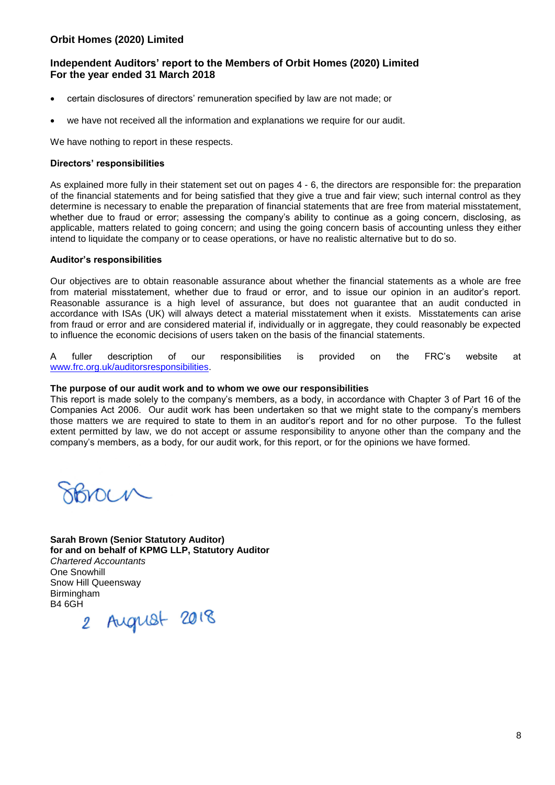## **Independent Auditors' report to the Members of Orbit Homes (2020) Limited For the year ended 31 March 2018**

- certain disclosures of directors' remuneration specified by law are not made; or
- we have not received all the information and explanations we require for our audit.

We have nothing to report in these respects.

#### **Directors' responsibilities**

As explained more fully in their statement set out on pages 4 - 6, the directors are responsible for: the preparation of the financial statements and for being satisfied that they give a true and fair view; such internal control as they determine is necessary to enable the preparation of financial statements that are free from material misstatement, whether due to fraud or error; assessing the company's ability to continue as a going concern, disclosing, as applicable, matters related to going concern; and using the going concern basis of accounting unless they either intend to liquidate the company or to cease operations, or have no realistic alternative but to do so.

#### **Auditor's responsibilities**

Our objectives are to obtain reasonable assurance about whether the financial statements as a whole are free from material misstatement, whether due to fraud or error, and to issue our opinion in an auditor's report. Reasonable assurance is a high level of assurance, but does not guarantee that an audit conducted in accordance with ISAs (UK) will always detect a material misstatement when it exists. Misstatements can arise from fraud or error and are considered material if, individually or in aggregate, they could reasonably be expected to influence the economic decisions of users taken on the basis of the financial statements.

A fuller description of our responsibilities is provided on the FRC's website at [www.frc.org.uk/auditorsresponsibilities.](http://www.frc.org.uk/auditorsresponsibilities)

#### **The purpose of our audit work and to whom we owe our responsibilities**

This report is made solely to the company's members, as a body, in accordance with Chapter 3 of Part 16 of the Companies Act 2006. Our audit work has been undertaken so that we might state to the company's members those matters we are required to state to them in an auditor's report and for no other purpose. To the fullest extent permitted by law, we do not accept or assume responsibility to anyone other than the company and the company's members, as a body, for our audit work, for this report, or for the opinions we have formed.

OUR

**Sarah Brown (Senior Statutory Auditor) for and on behalf of KPMG LLP, Statutory Auditor**  *Chartered Accountants*  One Snowhill Snow Hill Queensway Birmingham

B4 6GH 2 August 2018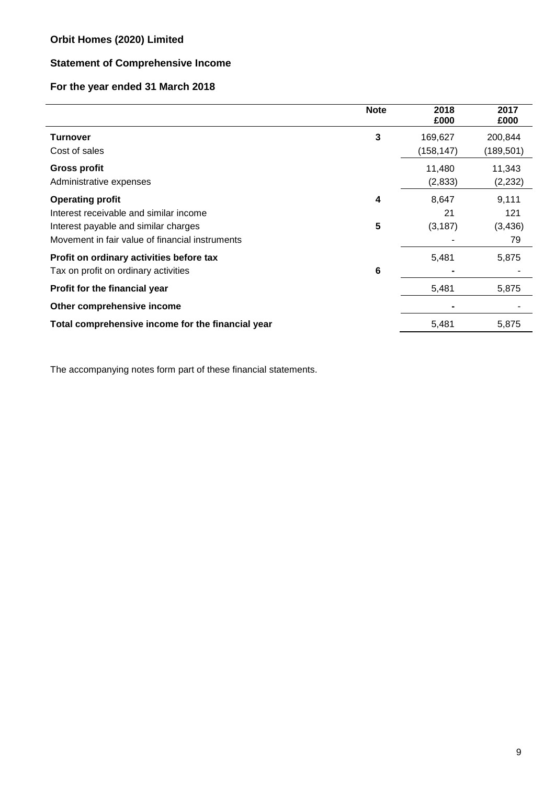# **Statement of Comprehensive Income**

# **For the year ended 31 March 2018**

|                                                   | <b>Note</b> | 2018<br>£000 | 2017<br>£000 |
|---------------------------------------------------|-------------|--------------|--------------|
| <b>Turnover</b>                                   | 3           | 169,627      | 200,844      |
| Cost of sales                                     |             | (158, 147)   | (189, 501)   |
| <b>Gross profit</b>                               |             | 11,480       | 11,343       |
| Administrative expenses                           |             | (2,833)      | (2, 232)     |
| <b>Operating profit</b>                           | 4           | 8,647        | 9,111        |
| Interest receivable and similar income            |             | 21           | 121          |
| Interest payable and similar charges              | 5           | (3, 187)     | (3, 436)     |
| Movement in fair value of financial instruments   |             |              | 79           |
| Profit on ordinary activities before tax          |             | 5,481        | 5,875        |
| Tax on profit on ordinary activities              | 6           |              |              |
| Profit for the financial year                     |             | 5,481        | 5,875        |
| Other comprehensive income                        |             |              |              |
| Total comprehensive income for the financial year |             | 5,481        | 5,875        |

The accompanying notes form part of these financial statements.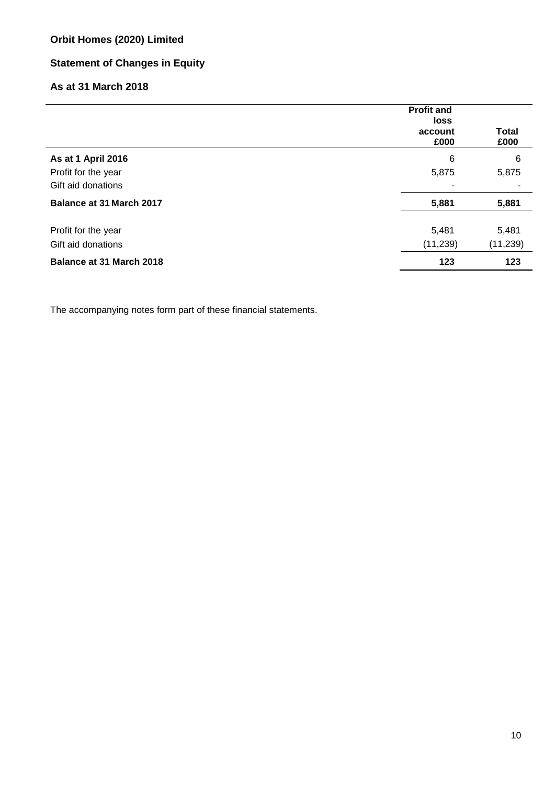# **Statement of Changes in Equity**

# **As at 31 March 2018**

|                                           | <b>Profit and</b><br>loss<br>account<br>£000 | <b>Total</b><br>£000 |
|-------------------------------------------|----------------------------------------------|----------------------|
| As at 1 April 2016                        | 6                                            | 6                    |
| Profit for the year                       | 5,875                                        | 5,875                |
| Gift aid donations                        | $\overline{\phantom{0}}$                     |                      |
| <b>Balance at 31 March 2017</b>           | 5,881                                        | 5,881                |
| Profit for the year<br>Gift aid donations | 5,481<br>(11, 239)                           | 5,481<br>(11, 239)   |
| Balance at 31 March 2018                  | 123                                          | 123                  |

The accompanying notes form part of these financial statements.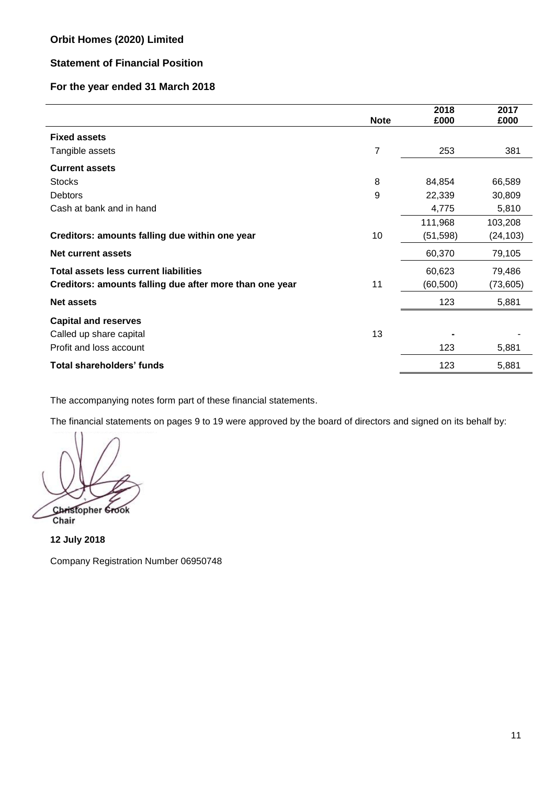# **Statement of Financial Position**

# **For the year ended 31 March 2018**

|                                                         | <b>Note</b> | 2018<br>£000 | 2017<br>£000 |
|---------------------------------------------------------|-------------|--------------|--------------|
| <b>Fixed assets</b>                                     |             |              |              |
| Tangible assets                                         | 7           | 253          | 381          |
| <b>Current assets</b>                                   |             |              |              |
| <b>Stocks</b>                                           | 8           | 84,854       | 66,589       |
| Debtors                                                 | 9           | 22,339       | 30,809       |
| Cash at bank and in hand                                |             | 4,775        | 5,810        |
|                                                         |             | 111,968      | 103,208      |
| Creditors: amounts falling due within one year          | 10          | (51, 598)    | (24, 103)    |
| <b>Net current assets</b>                               |             | 60,370       | 79,105       |
| <b>Total assets less current liabilities</b>            |             | 60,623       | 79,486       |
| Creditors: amounts falling due after more than one year | 11          | (60, 500)    | (73,605)     |
| <b>Net assets</b>                                       |             | 123          | 5,881        |
| <b>Capital and reserves</b>                             |             |              |              |
| Called up share capital                                 | 13          |              |              |
| Profit and loss account                                 |             | 123          | 5,881        |
| <b>Total shareholders' funds</b>                        |             | 123          | 5,881        |

The accompanying notes form part of these financial statements.

The financial statements on pages 9 to 19 were approved by the board of directors and signed on its behalf by:

Christopher Grook Chair

**12 July 2018**

Company Registration Number 06950748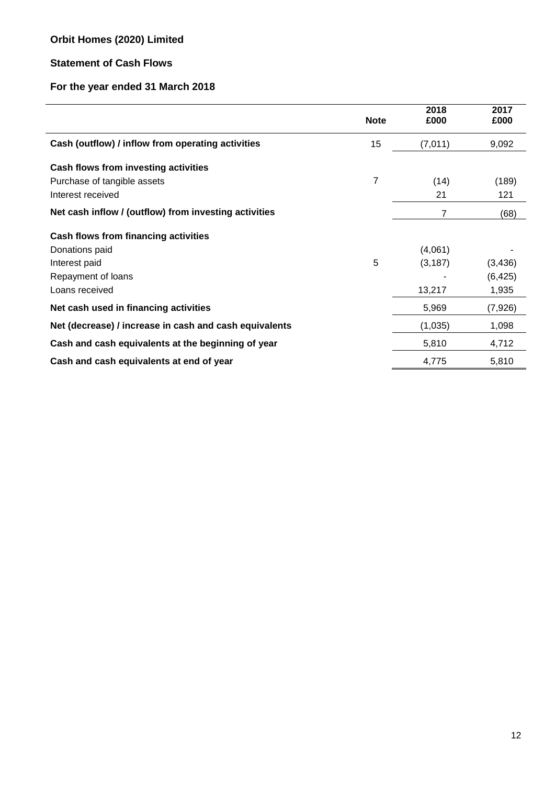# **Statement of Cash Flows**

# **For the year ended 31 March 2018**

|                                                        | <b>Note</b> | 2018<br>£000 | 2017<br>£000 |
|--------------------------------------------------------|-------------|--------------|--------------|
| Cash (outflow) / inflow from operating activities      | 15          | (7,011)      | 9,092        |
| Cash flows from investing activities                   |             |              |              |
| Purchase of tangible assets                            | 7           | (14)         | (189)        |
| Interest received                                      |             | 21           | 121          |
| Net cash inflow / (outflow) from investing activities  |             | 7            | (68)         |
| Cash flows from financing activities                   |             |              |              |
| Donations paid                                         |             | (4,061)      |              |
| Interest paid                                          | 5           | (3, 187)     | (3, 436)     |
| Repayment of loans                                     |             |              | (6, 425)     |
| Loans received                                         |             | 13,217       | 1,935        |
| Net cash used in financing activities                  |             | 5,969        | (7,926)      |
| Net (decrease) / increase in cash and cash equivalents |             | (1,035)      | 1,098        |
| Cash and cash equivalents at the beginning of year     |             | 5,810        | 4,712        |
| Cash and cash equivalents at end of year               |             | 4,775        | 5,810        |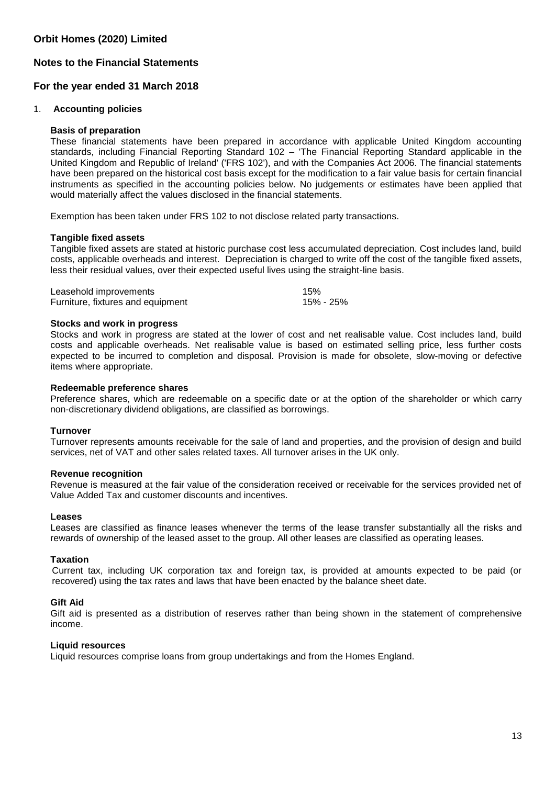### **Notes to the Financial Statements**

### **For the year ended 31 March 2018**

#### 1. **Accounting policies**

#### **Basis of preparation**

These financial statements have been prepared in accordance with applicable United Kingdom accounting standards, including Financial Reporting Standard 102 – 'The Financial Reporting Standard applicable in the United Kingdom and Republic of Ireland' ('FRS 102'), and with the Companies Act 2006. The financial statements have been prepared on the historical cost basis except for the modification to a fair value basis for certain financial instruments as specified in the accounting policies below. No judgements or estimates have been applied that would materially affect the values disclosed in the financial statements.

Exemption has been taken under FRS 102 to not disclose related party transactions.

#### **Tangible fixed assets**

Tangible fixed assets are stated at historic purchase cost less accumulated depreciation. Cost includes land, build costs, applicable overheads and interest. Depreciation is charged to write off the cost of the tangible fixed assets, less their residual values, over their expected useful lives using the straight-line basis.

| Leasehold improvements            | 15%       |
|-----------------------------------|-----------|
| Furniture, fixtures and equipment | 15% - 25% |

#### **Stocks and work in progress**

Stocks and work in progress are stated at the lower of cost and net realisable value. Cost includes land, build costs and applicable overheads. Net realisable value is based on estimated selling price, less further costs expected to be incurred to completion and disposal. Provision is made for obsolete, slow-moving or defective items where appropriate.

#### **Redeemable preference shares**

Preference shares, which are redeemable on a specific date or at the option of the shareholder or which carry non-discretionary dividend obligations, are classified as borrowings.

#### **Turnover**

Turnover represents amounts receivable for the sale of land and properties, and the provision of design and build services, net of VAT and other sales related taxes. All turnover arises in the UK only.

#### **Revenue recognition**

Revenue is measured at the fair value of the consideration received or receivable for the services provided net of Value Added Tax and customer discounts and incentives.

#### **Leases**

Leases are classified as finance leases whenever the terms of the lease transfer substantially all the risks and rewards of ownership of the leased asset to the group. All other leases are classified as operating leases.

#### **Taxation**

Current tax, including UK corporation tax and foreign tax, is provided at amounts expected to be paid (or recovered) using the tax rates and laws that have been enacted by the balance sheet date.

#### **Gift Aid**

Gift aid is presented as a distribution of reserves rather than being shown in the statement of comprehensive income.

#### **Liquid resources**

Liquid resources comprise loans from group undertakings and from the Homes England.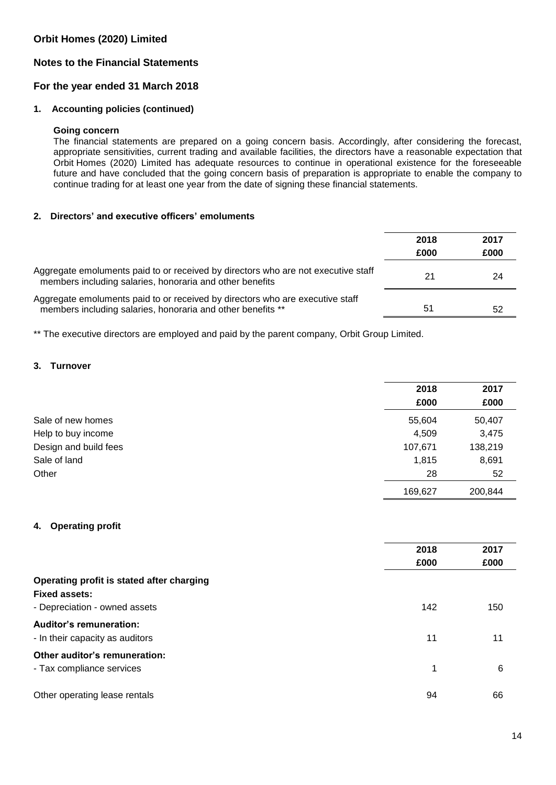# **Notes to the Financial Statements**

## **For the year ended 31 March 2018**

### **1. Accounting policies (continued)**

#### **Going concern**

The financial statements are prepared on a going concern basis. Accordingly, after considering the forecast, appropriate sensitivities, current trading and available facilities, the directors have a reasonable expectation that Orbit Homes (2020) Limited has adequate resources to continue in operational existence for the foreseeable future and have concluded that the going concern basis of preparation is appropriate to enable the company to continue trading for at least one year from the date of signing these financial statements.

# **2. Directors' and executive officers' emoluments**

|                                                                                                                                               | 2018 | 2017 |
|-----------------------------------------------------------------------------------------------------------------------------------------------|------|------|
|                                                                                                                                               | £000 | £000 |
| Aggregate emoluments paid to or received by directors who are not executive staff<br>members including salaries, honoraria and other benefits | 21   | 24   |
| Aggregate emoluments paid to or received by directors who are executive staff<br>members including salaries, honoraria and other benefits **  | 51   | 52   |

\*\* The executive directors are employed and paid by the parent company, Orbit Group Limited.

### **3. Turnover**

|                       | 2018    | 2017    |
|-----------------------|---------|---------|
|                       | £000    | £000    |
| Sale of new homes     | 55,604  | 50,407  |
| Help to buy income    | 4,509   | 3,475   |
| Design and build fees | 107,671 | 138,219 |
| Sale of land          | 1,815   | 8,691   |
| Other                 | 28      | 52      |
|                       | 169,627 | 200,844 |

### **4. Operating profit**

|                                           | 2018 | 2017 |
|-------------------------------------------|------|------|
|                                           | £000 | £000 |
| Operating profit is stated after charging |      |      |
| <b>Fixed assets:</b>                      |      |      |
| - Depreciation - owned assets             | 142  | 150  |
| <b>Auditor's remuneration:</b>            |      |      |
| - In their capacity as auditors           | 11   | 11   |
| Other auditor's remuneration:             |      |      |
| - Tax compliance services                 | 1    | 6    |
| Other operating lease rentals             | 94   | 66   |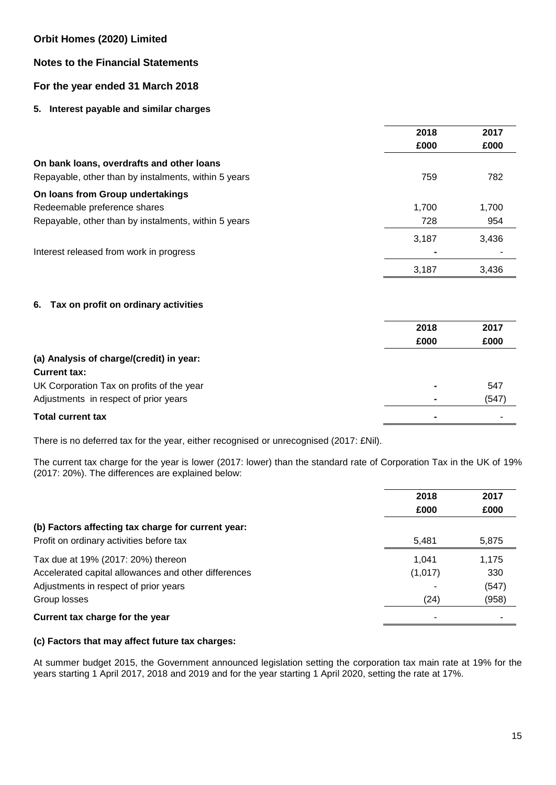# **Notes to the Financial Statements**

# **For the year ended 31 March 2018**

### **5. Interest payable and similar charges**

|                                                                 | 2018  | 2017  |
|-----------------------------------------------------------------|-------|-------|
|                                                                 | £000  | £000  |
| On bank loans, overdrafts and other loans                       |       |       |
| Repayable, other than by instalments, within 5 years            | 759   | 782   |
| On loans from Group undertakings                                |       |       |
| Redeemable preference shares                                    | 1,700 | 1,700 |
| Repayable, other than by instalments, within 5 years            | 728   | 954   |
|                                                                 | 3,187 | 3,436 |
| Interest released from work in progress                         |       |       |
|                                                                 | 3,187 | 3,436 |
| Tax on profit on ordinary activities<br>6.                      |       |       |
|                                                                 | 2018  | 2017  |
|                                                                 | £000  | £000  |
| (a) Analysis of charge/(credit) in year:<br><b>Current tax:</b> |       |       |
| UK Corporation Tax on profits of the year                       |       | 547   |
| Adjustments in respect of prior years                           |       | (547) |

### **Total current tax -** -

There is no deferred tax for the year, either recognised or unrecognised (2017: £Nil).

The current tax charge for the year is lower (2017: lower) than the standard rate of Corporation Tax in the UK of 19% (2017: 20%). The differences are explained below:

|                                                      | 2018    | 2017  |
|------------------------------------------------------|---------|-------|
|                                                      | £000    | £000  |
| (b) Factors affecting tax charge for current year:   |         |       |
| Profit on ordinary activities before tax             | 5,481   | 5,875 |
| Tax due at 19% (2017: 20%) thereon                   | 1.041   | 1,175 |
| Accelerated capital allowances and other differences | (1,017) | 330   |
| Adjustments in respect of prior years                |         | (547) |
| Group losses                                         | (24)    | (958) |
| Current tax charge for the year                      |         |       |

### **(c) Factors that may affect future tax charges:**

At summer budget 2015, the Government announced legislation setting the corporation tax main rate at 19% for the years starting 1 April 2017, 2018 and 2019 and for the year starting 1 April 2020, setting the rate at 17%.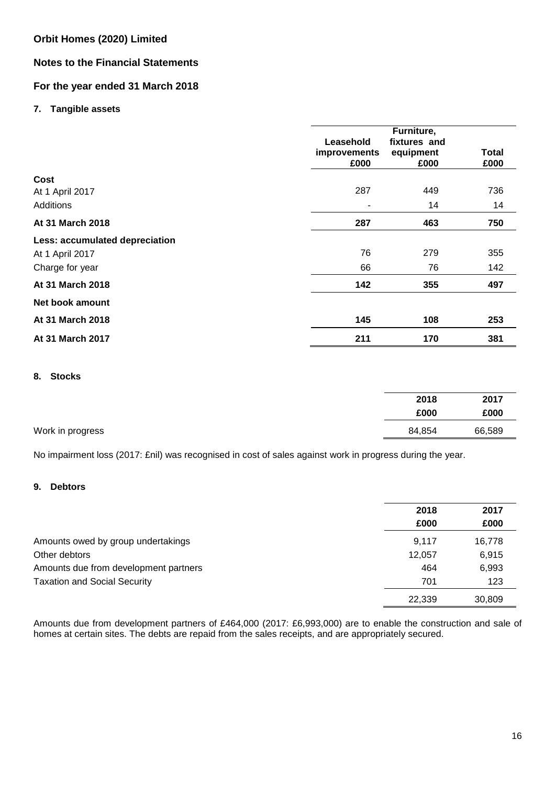## **Notes to the Financial Statements**

# **For the year ended 31 March 2018**

### **7. Tangible assets**

|                                                                      | Leasehold<br>improvements<br>£000 | Furniture,<br>fixtures and<br>equipment<br>£000 | <b>Total</b><br>£000 |
|----------------------------------------------------------------------|-----------------------------------|-------------------------------------------------|----------------------|
| Cost<br>At 1 April 2017<br>Additions                                 | 287                               | 449<br>14                                       | 736<br>14            |
| At 31 March 2018                                                     | 287                               | 463                                             | 750                  |
| Less: accumulated depreciation<br>At 1 April 2017<br>Charge for year | 76<br>66                          | 279<br>76                                       | 355<br>142           |
| At 31 March 2018                                                     | 142                               | 355                                             | 497                  |
| Net book amount                                                      |                                   |                                                 |                      |
| At 31 March 2018                                                     | 145                               | 108                                             | 253                  |
| At 31 March 2017                                                     | 211                               | 170                                             | 381                  |

## **8. Stocks**

|                  | 2018   | 2017   |
|------------------|--------|--------|
|                  | £000   | £000   |
| Work in progress | 84,854 | 66,589 |

No impairment loss (2017: £nil) was recognised in cost of sales against work in progress during the year.

## **9. Debtors**

|                                       | 2018   | 2017   |
|---------------------------------------|--------|--------|
|                                       | £000   | £000   |
| Amounts owed by group undertakings    | 9.117  | 16,778 |
| Other debtors                         | 12.057 | 6.915  |
| Amounts due from development partners | 464    | 6,993  |
| <b>Taxation and Social Security</b>   | 701    | 123    |
|                                       | 22,339 | 30,809 |

Amounts due from development partners of £464,000 (2017: £6,993,000) are to enable the construction and sale of homes at certain sites. The debts are repaid from the sales receipts, and are appropriately secured.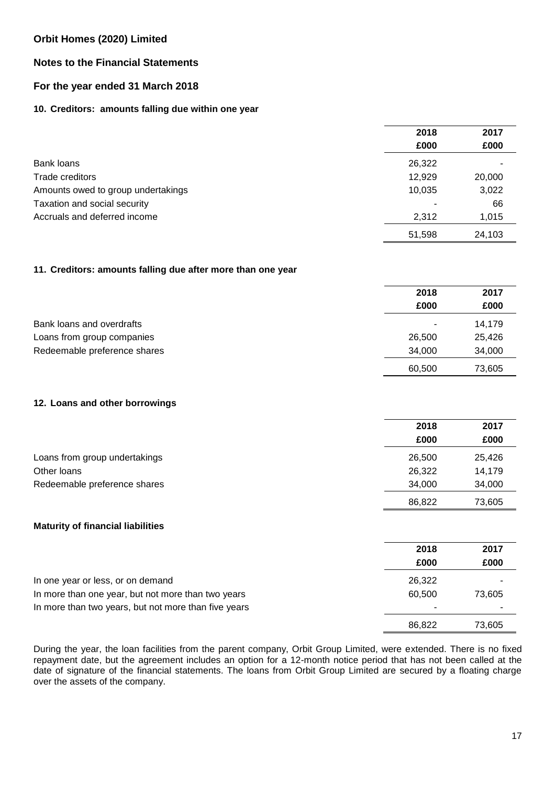# **Notes to the Financial Statements**

# **For the year ended 31 March 2018**

### **10. Creditors: amounts falling due within one year**

|                                    | 2018   | 2017   |
|------------------------------------|--------|--------|
|                                    | £000   | £000   |
| Bank loans                         | 26,322 |        |
| Trade creditors                    | 12,929 | 20,000 |
| Amounts owed to group undertakings | 10,035 | 3,022  |
| Taxation and social security       |        | 66     |
| Accruals and deferred income       | 2,312  | 1,015  |
|                                    | 51,598 | 24,103 |

### **11. Creditors: amounts falling due after more than one year**

|                              | 2018   | 2017   |
|------------------------------|--------|--------|
|                              | £000   | £000   |
| Bank loans and overdrafts    | ٠      | 14.179 |
| Loans from group companies   | 26,500 | 25,426 |
| Redeemable preference shares | 34.000 | 34,000 |
|                              | 60,500 | 73,605 |

### **12. Loans and other borrowings**

|                               | 2018   | 2017   |
|-------------------------------|--------|--------|
|                               | £000   | £000   |
| Loans from group undertakings | 26,500 | 25,426 |
| Other loans                   | 26,322 | 14,179 |
| Redeemable preference shares  | 34.000 | 34,000 |
|                               | 86,822 | 73,605 |

### **Maturity of financial liabilities**

|                                                      | 2018   | 2017   |
|------------------------------------------------------|--------|--------|
|                                                      | £000   | £000   |
| In one year or less, or on demand                    | 26,322 |        |
| In more than one year, but not more than two years   | 60.500 | 73,605 |
| In more than two years, but not more than five years |        |        |
|                                                      | 86.822 | 73.605 |

During the year, the loan facilities from the parent company, Orbit Group Limited, were extended. There is no fixed repayment date, but the agreement includes an option for a 12-month notice period that has not been called at the date of signature of the financial statements. The loans from Orbit Group Limited are secured by a floating charge over the assets of the company.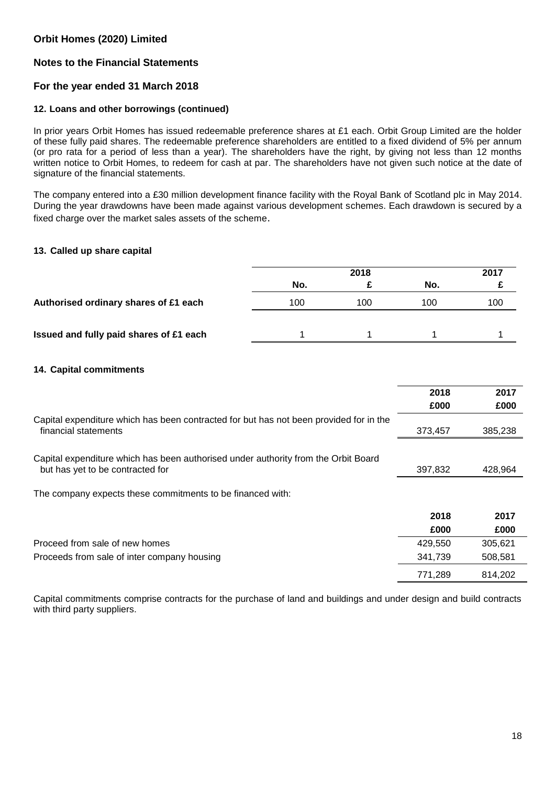## **Notes to the Financial Statements**

### **For the year ended 31 March 2018**

#### **12. Loans and other borrowings (continued)**

In prior years Orbit Homes has issued redeemable preference shares at £1 each. Orbit Group Limited are the holder of these fully paid shares. The redeemable preference shareholders are entitled to a fixed dividend of 5% per annum (or pro rata for a period of less than a year). The shareholders have the right, by giving not less than 12 months written notice to Orbit Homes, to redeem for cash at par. The shareholders have not given such notice at the date of signature of the financial statements.

The company entered into a £30 million development finance facility with the Royal Bank of Scotland plc in May 2014. During the year drawdowns have been made against various development schemes. Each drawdown is secured by a fixed charge over the market sales assets of the scheme.

#### **13. Called up share capital**

|                                         | 2018 |     |     |     |  |
|-----------------------------------------|------|-----|-----|-----|--|
|                                         | No.  |     | No. |     |  |
| Authorised ordinary shares of £1 each   | 100  | 100 | 100 | 100 |  |
| Issued and fully paid shares of £1 each |      |     |     |     |  |

#### **14. Capital commitments**

|                                                                                                                        | 2018    | 2017    |
|------------------------------------------------------------------------------------------------------------------------|---------|---------|
|                                                                                                                        | £000    | £000    |
| Capital expenditure which has been contracted for but has not been provided for in the<br>financial statements         | 373,457 | 385,238 |
| Capital expenditure which has been authorised under authority from the Orbit Board<br>but has yet to be contracted for | 397,832 | 428,964 |
| The company expects these commitments to be financed with:                                                             |         |         |
|                                                                                                                        | 2018    | 2017    |
|                                                                                                                        | £000    | £000    |
| Proceed from sale of new homes                                                                                         | 429,550 | 305,621 |
| Proceeds from sale of inter company housing                                                                            | 341,739 | 508,581 |
|                                                                                                                        | 771,289 | 814,202 |

Capital commitments comprise contracts for the purchase of land and buildings and under design and build contracts with third party suppliers.